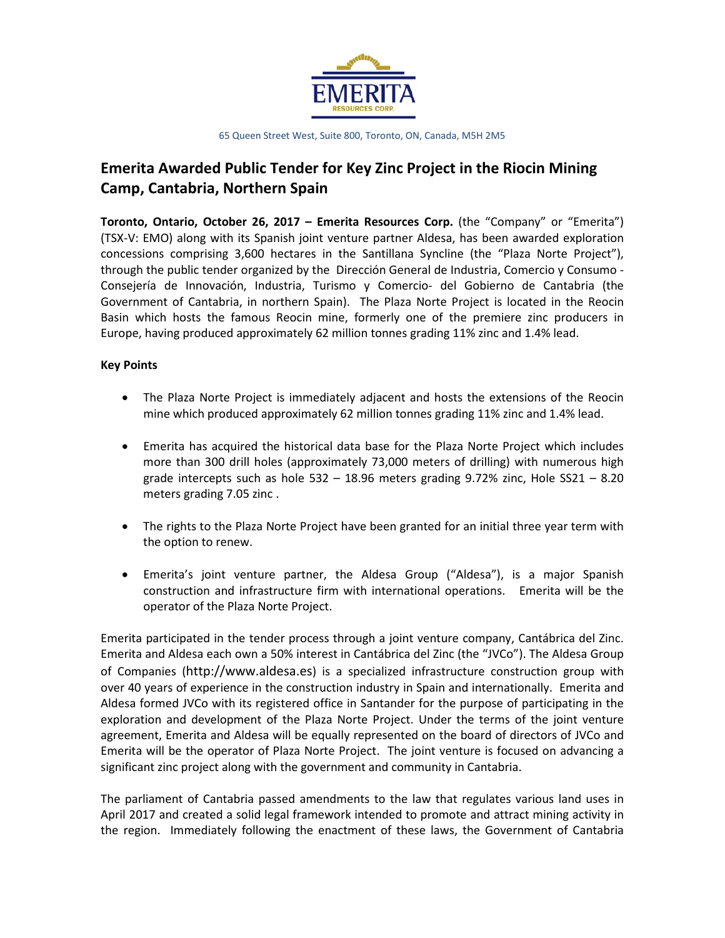

# **Emerita Awarded Public Tender for Key Zinc Project in the Riocin Mining Camp, Cantabria, Northern Spain**

**Toronto, Ontario, October 26, 2017 – Emerita Resources Corp.** (the "Company" or "Emerita") (TSX-V: EMO) along with its Spanish joint venture partner Aldesa, has been awarded exploration concessions comprising 3,600 hectares in the Santillana Syncline (the "Plaza Norte Project"), through the public tender organized by the Dirección General de Industria, Comercio y Consumo - Consejería de Innovación, Industria, Turismo y Comercio- del Gobierno de Cantabria (the Government of Cantabria, in northern Spain). The Plaza Norte Project is located in the Reocin Basin which hosts the famous Reocin mine, formerly one of the premiere zinc producers in Europe, having produced approximately 62 million tonnes grading 11% zinc and 1.4% lead.

### **Key Points**

- The Plaza Norte Project is immediately adjacent and hosts the extensions of the Reocin mine which produced approximately 62 million tonnes grading 11% zinc and 1.4% lead.
- Emerita has acquired the historical data base for the Plaza Norte Project which includes more than 300 drill holes (approximately 73,000 meters of drilling) with numerous high grade intercepts such as hole  $532 - 18.96$  meters grading  $9.72\%$  zinc, Hole  $SS21 - 8.20$ meters grading 7.05 zinc .
- The rights to the Plaza Norte Project have been granted for an initial three year term with the option to renew.
- Emerita's joint venture partner, the Aldesa Group ("Aldesa"), is a major Spanish construction and infrastructure firm with international operations. Emerita will be the operator of the Plaza Norte Project.

Emerita participated in the tender process through a joint venture company, Cantábrica del Zinc. Emerita and Aldesa each own a 50% interest in Cantábrica del Zinc (the "JVCo"). The Aldesa Group of Companies (http://www.aldesa.es) is a specialized infrastructure construction group with over 40 years of experience in the construction industry in Spain and internationally. Emerita and Aldesa formed JVCo with its registered office in Santander for the purpose of participating in the exploration and development of the Plaza Norte Project. Under the terms of the joint venture agreement, Emerita and Aldesa will be equally represented on the board of directors of JVCo and Emerita will be the operator of Plaza Norte Project. The joint venture is focused on advancing a significant zinc project along with the government and community in Cantabria.

The parliament of Cantabria passed amendments to the law that regulates various land uses in April 2017 and created a solid legal framework intended to promote and attract mining activity in the region. Immediately following the enactment of these laws, the Government of Cantabria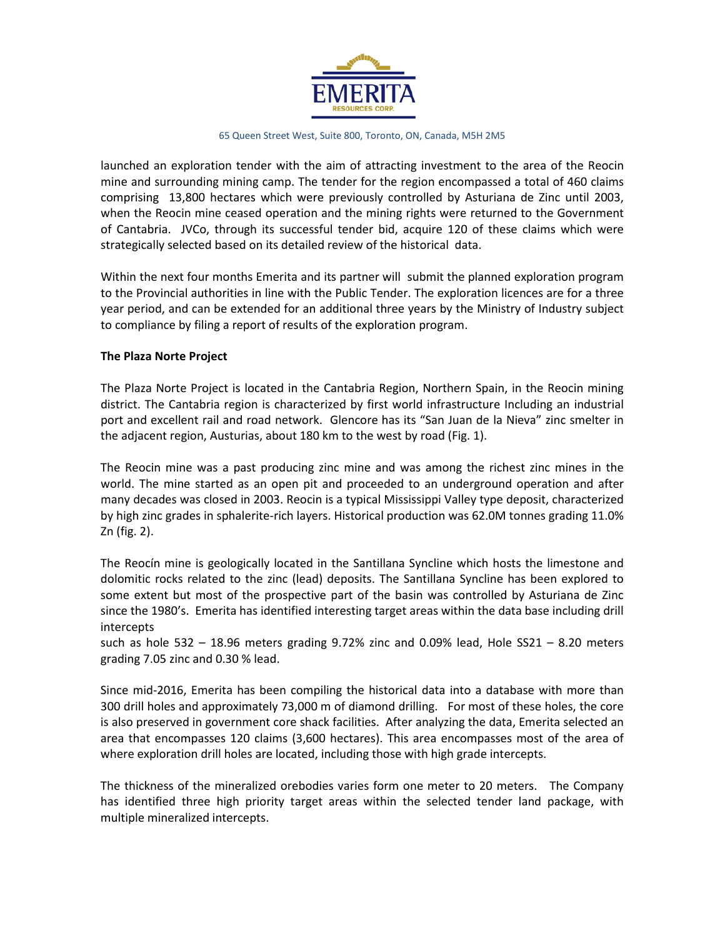

launched an exploration tender with the aim of attracting investment to the area of the Reocin mine and surrounding mining camp. The tender for the region encompassed a total of 460 claims comprising 13,800 hectares which were previously controlled by Asturiana de Zinc until 2003, when the Reocin mine ceased operation and the mining rights were returned to the Government of Cantabria. JVCo, through its successful tender bid, acquire 120 of these claims which were strategically selected based on its detailed review of the historical data.

Within the next four months Emerita and its partner will submit the planned exploration program to the Provincial authorities in line with the Public Tender. The exploration licences are for a three year period, and can be extended for an additional three years by the Ministry of Industry subject to compliance by filing a report of results of the exploration program.

### **The Plaza Norte Project**

The Plaza Norte Project is located in the Cantabria Region, Northern Spain, in the Reocin mining district. The Cantabria region is characterized by first world infrastructure Including an industrial port and excellent rail and road network. Glencore has its "San Juan de la Nieva" zinc smelter in the adjacent region, Austurias, about 180 km to the west by road (Fig. 1).

The Reocin mine was a past producing zinc mine and was among the richest zinc mines in the world. The mine started as an open pit and proceeded to an underground operation and after many decades was closed in 2003. Reocin is a typical Mississippi Valley type deposit, characterized by high zinc grades in sphalerite-rich layers. Historical production was 62.0M tonnes grading 11.0% Zn (fig. 2).

The Reocín mine is geologically located in the Santillana Syncline which hosts the limestone and dolomitic rocks related to the zinc (lead) deposits. The Santillana Syncline has been explored to some extent but most of the prospective part of the basin was controlled by Asturiana de Zinc since the 1980's. Emerita has identified interesting target areas within the data base including drill intercepts

such as hole  $532 - 18.96$  meters grading  $9.72\%$  zinc and 0.09% lead, Hole SS21 – 8.20 meters grading 7.05 zinc and 0.30 % lead.

Since mid-2016, Emerita has been compiling the historical data into a database with more than 300 drill holes and approximately 73,000 m of diamond drilling. For most of these holes, the core is also preserved in government core shack facilities. After analyzing the data, Emerita selected an area that encompasses 120 claims (3,600 hectares). This area encompasses most of the area of where exploration drill holes are located, including those with high grade intercepts.

The thickness of the mineralized orebodies varies form one meter to 20 meters. The Company has identified three high priority target areas within the selected tender land package, with multiple mineralized intercepts.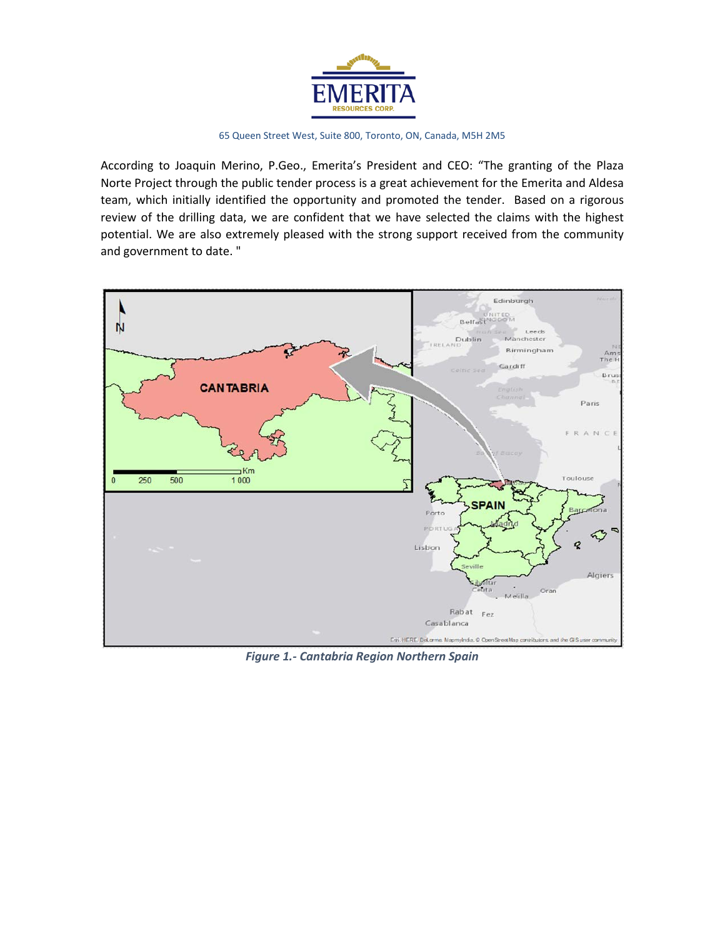

According to Joaquin Merino, P.Geo., Emerita's President and CEO: "The granting of the Plaza Norte Project through the public tender process is a great achievement for the Emerita and Aldesa team, which initially identified the opportunity and promoted the tender. Based on a rigorous review of the drilling data, we are confident that we have selected the claims with the highest potential. We are also extremely pleased with the strong support received from the community and government to date. "



*Figure 1.- Cantabria Region Northern Spain*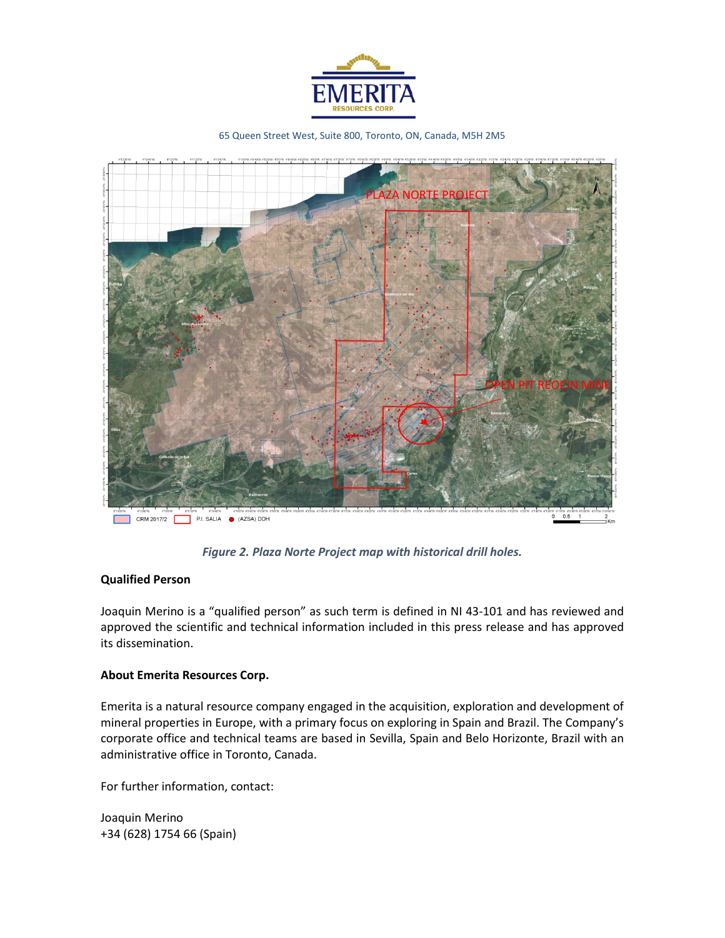



*Figure 2. Plaza Norte Project map with historical drill holes.*

### **Qualified Person**

Joaquin Merino is a "qualified person" as such term is defined in NI 43-101 and has reviewed and approved the scientific and technical information included in this press release and has approved its dissemination.

### **About Emerita Resources Corp.**

Emerita is a natural resource company engaged in the acquisition, exploration and development of mineral properties in Europe, with a primary focus on exploring in Spain and Brazil. The Company's corporate office and technical teams are based in Sevilla, Spain and Belo Horizonte, Brazil with an administrative office in Toronto, Canada.

For further information, contact:

Joaquin Merino +34 (628) 1754 66 (Spain)